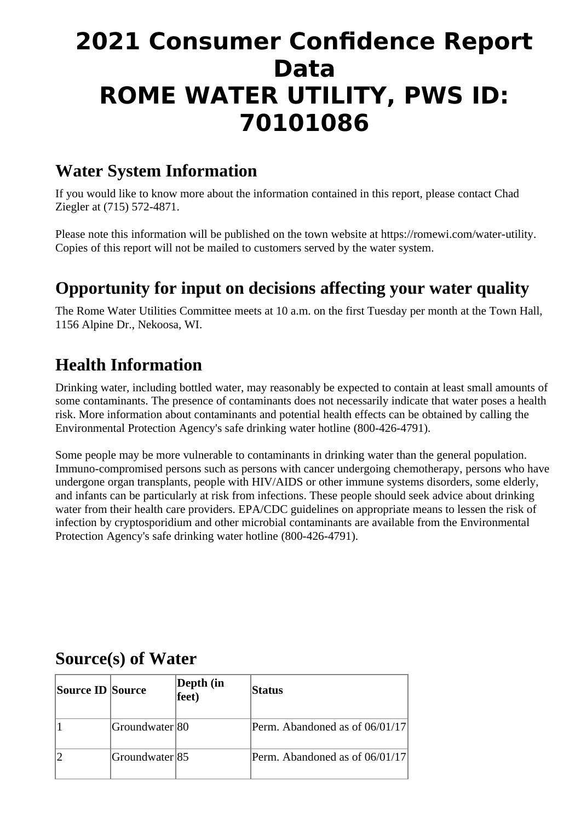# **2021 Consumer Confidence Report Data ROME WATER UTILITY, PWS ID: 70101086**

#### **Water System Information**

If you would like to know more about the information contained in this report, please contact Chad Ziegler at (715) 572-4871.

Please note this information will be published on the town website at https://romewi.com/water-utility. Copies of this report will not be mailed to customers served by the water system.

### **Opportunity for input on decisions affecting your water quality**

The Rome Water Utilities Committee meets at 10 a.m. on the first Tuesday per month at the Town Hall, 1156 Alpine Dr., Nekoosa, WI.

### **Health Information**

Drinking water, including bottled water, may reasonably be expected to contain at least small amounts of some contaminants. The presence of contaminants does not necessarily indicate that water poses a health risk. More information about contaminants and potential health effects can be obtained by calling the Environmental Protection Agency's safe drinking water hotline (800-426-4791).

Some people may be more vulnerable to contaminants in drinking water than the general population. Immuno-compromised persons such as persons with cancer undergoing chemotherapy, persons who have undergone organ transplants, people with HIV/AIDS or other immune systems disorders, some elderly, and infants can be particularly at risk from infections. These people should seek advice about drinking water from their health care providers. EPA/CDC guidelines on appropriate means to lessen the risk of infection by cryptosporidium and other microbial contaminants are available from the Environmental Protection Agency's safe drinking water hotline (800-426-4791).

#### **Source(s) of Water**

| <b>Source ID Source</b> |                | Depth (in<br>$fee$ t $)$ | <b>Status</b>                  |
|-------------------------|----------------|--------------------------|--------------------------------|
|                         | Groundwater 80 |                          | Perm. Abandoned as of 06/01/17 |
|                         | Groundwater 85 |                          | Perm. Abandoned as of 06/01/17 |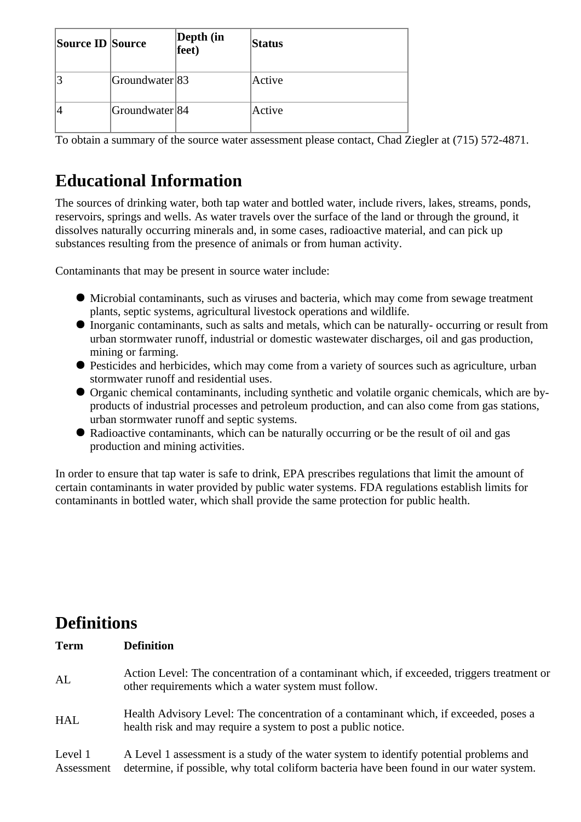| <b>Source ID Source</b> |                | Depth (in<br>feet) | <b>Status</b> |
|-------------------------|----------------|--------------------|---------------|
| 3                       | Groundwater 83 |                    | Active        |
|                         | Groundwater 84 |                    | Active        |

To obtain a summary of the source water assessment please contact, Chad Ziegler at (715) 572-4871.

## **Educational Information**

The sources of drinking water, both tap water and bottled water, include rivers, lakes, streams, ponds, reservoirs, springs and wells. As water travels over the surface of the land or through the ground, it dissolves naturally occurring minerals and, in some cases, radioactive material, and can pick up substances resulting from the presence of animals or from human activity.

Contaminants that may be present in source water include:

- Microbial contaminants, such as viruses and bacteria, which may come from sewage treatment plants, septic systems, agricultural livestock operations and wildlife.
- Inorganic contaminants, such as salts and metals, which can be naturally- occurring or result from urban stormwater runoff, industrial or domestic wastewater discharges, oil and gas production, mining or farming.
- Pesticides and herbicides, which may come from a variety of sources such as agriculture, urban stormwater runoff and residential uses.
- Organic chemical contaminants, including synthetic and volatile organic chemicals, which are byproducts of industrial processes and petroleum production, and can also come from gas stations, urban stormwater runoff and septic systems.
- Radioactive contaminants, which can be naturally occurring or be the result of oil and gas production and mining activities.

In order to ensure that tap water is safe to drink, EPA prescribes regulations that limit the amount of certain contaminants in water provided by public water systems. FDA regulations establish limits for contaminants in bottled water, which shall provide the same protection for public health.

#### **Definitions**

| <b>Term</b>           | <b>Definition</b>                                                                                                                                                                  |
|-----------------------|------------------------------------------------------------------------------------------------------------------------------------------------------------------------------------|
| AL                    | Action Level: The concentration of a contaminant which, if exceeded, triggers treatment or<br>other requirements which a water system must follow.                                 |
| <b>HAL</b>            | Health Advisory Level: The concentration of a contaminant which, if exceeded, poses a<br>health risk and may require a system to post a public notice.                             |
| Level 1<br>Assessment | A Level 1 assessment is a study of the water system to identify potential problems and<br>determine, if possible, why total coliform bacteria have been found in our water system. |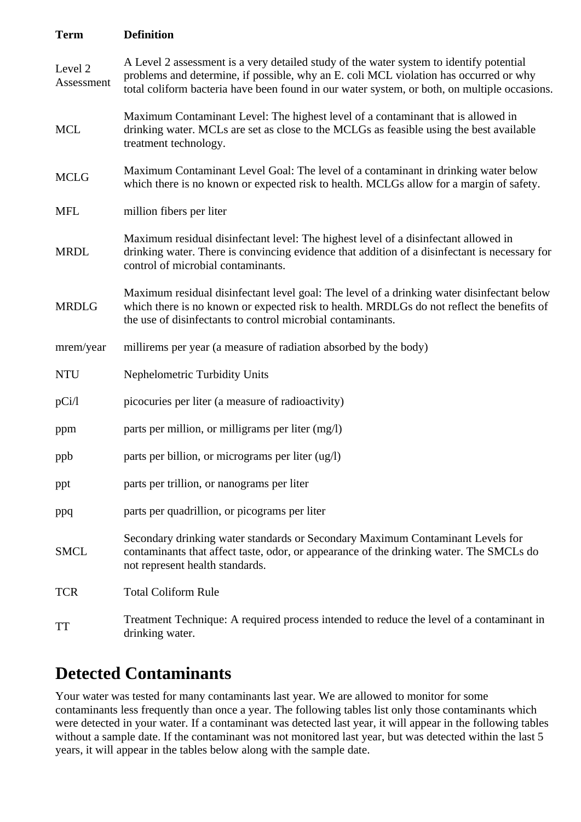| <b>Term</b>           | <b>Definition</b>                                                                                                                                                                                                                                                                |
|-----------------------|----------------------------------------------------------------------------------------------------------------------------------------------------------------------------------------------------------------------------------------------------------------------------------|
| Level 2<br>Assessment | A Level 2 assessment is a very detailed study of the water system to identify potential<br>problems and determine, if possible, why an E. coli MCL violation has occurred or why<br>total coliform bacteria have been found in our water system, or both, on multiple occasions. |
| <b>MCL</b>            | Maximum Contaminant Level: The highest level of a contaminant that is allowed in<br>drinking water. MCLs are set as close to the MCLGs as feasible using the best available<br>treatment technology.                                                                             |
| <b>MCLG</b>           | Maximum Contaminant Level Goal: The level of a contaminant in drinking water below<br>which there is no known or expected risk to health. MCLGs allow for a margin of safety.                                                                                                    |
| <b>MFL</b>            | million fibers per liter                                                                                                                                                                                                                                                         |
| <b>MRDL</b>           | Maximum residual disinfectant level: The highest level of a disinfectant allowed in<br>drinking water. There is convincing evidence that addition of a disinfectant is necessary for<br>control of microbial contaminants.                                                       |
| <b>MRDLG</b>          | Maximum residual disinfectant level goal: The level of a drinking water disinfectant below<br>which there is no known or expected risk to health. MRDLGs do not reflect the benefits of<br>the use of disinfectants to control microbial contaminants.                           |
| mrem/year             | millirems per year (a measure of radiation absorbed by the body)                                                                                                                                                                                                                 |
| <b>NTU</b>            | <b>Nephelometric Turbidity Units</b>                                                                                                                                                                                                                                             |
| pCi/l                 | picocuries per liter (a measure of radioactivity)                                                                                                                                                                                                                                |
| ppm                   | parts per million, or milligrams per liter (mg/l)                                                                                                                                                                                                                                |
| ppb                   | parts per billion, or micrograms per liter (ug/l)                                                                                                                                                                                                                                |
| ppt                   | parts per trillion, or nanograms per liter                                                                                                                                                                                                                                       |
| ppq                   | parts per quadrillion, or picograms per liter                                                                                                                                                                                                                                    |
| <b>SMCL</b>           | Secondary drinking water standards or Secondary Maximum Contaminant Levels for<br>contaminants that affect taste, odor, or appearance of the drinking water. The SMCLs do<br>not represent health standards.                                                                     |
| <b>TCR</b>            | <b>Total Coliform Rule</b>                                                                                                                                                                                                                                                       |
| TT                    | Treatment Technique: A required process intended to reduce the level of a contaminant in<br>drinking water.                                                                                                                                                                      |

#### **Detected Contaminants**

Your water was tested for many contaminants last year. We are allowed to monitor for some contaminants less frequently than once a year. The following tables list only those contaminants which were detected in your water. If a contaminant was detected last year, it will appear in the following tables without a sample date. If the contaminant was not monitored last year, but was detected within the last 5 years, it will appear in the tables below along with the sample date.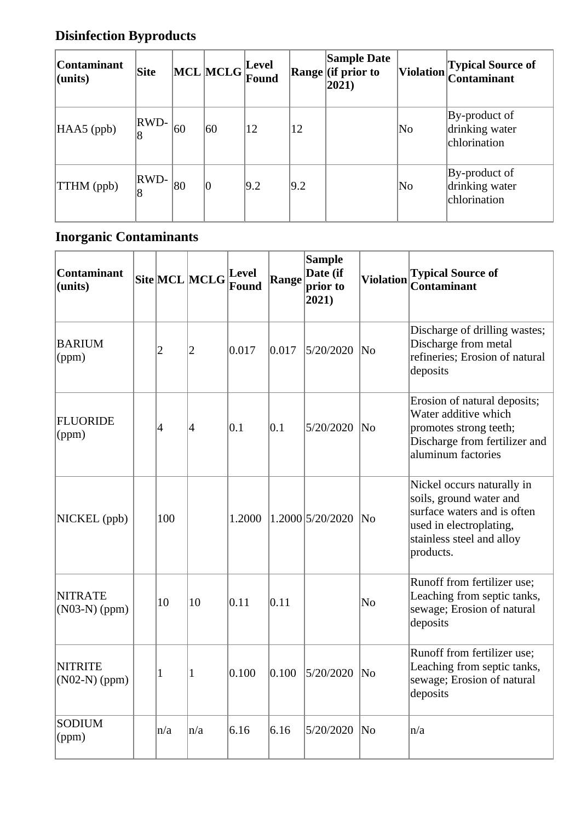### **Disinfection Byproducts**

| <b>Contaminant</b><br>$ $ (units) | Site      |    | MCL MCLG       | Level<br>Found |               | <b>Sample Date</b><br>$\vert$ Range $\vert$ (if prior to<br>$ 2021\rangle$ | <b>Violation</b> | <b>Typical Source of</b><br><b>Contaminant</b>  |
|-----------------------------------|-----------|----|----------------|----------------|---------------|----------------------------------------------------------------------------|------------------|-------------------------------------------------|
| $HAAS$ (ppb)                      | RWD-<br>8 | 60 | 60             | 12             | 12            |                                                                            | No               | By-product of<br>drinking water<br>chlorination |
| TTHM (ppb)                        | RWD-<br>8 | 80 | $\overline{0}$ | $ 9.2\rangle$  | $ 9.2\rangle$ |                                                                            | No               | By-product of<br>drinking water<br>chlorination |

#### **Inorganic Contaminants**

| <b>Contaminant</b><br>(units)                          |             | Site MCL MCLG  | Level<br>Found | Range | <b>Sample</b><br>Date (if<br>prior to<br>2021) | <b>Violation</b>    | <b>Typical Source of</b><br><b>Contaminant</b>                                                                                                            |
|--------------------------------------------------------|-------------|----------------|----------------|-------|------------------------------------------------|---------------------|-----------------------------------------------------------------------------------------------------------------------------------------------------------|
| <b>BARIUM</b><br>$\left  \text{(ppm)} \right\rangle$   | 2           | $\overline{2}$ | 0.017          | 0.017 | 5/20/2020                                      | N <sub>0</sub>      | Discharge of drilling wastes;<br>Discharge from metal<br>refineries; Erosion of natural<br>deposits                                                       |
| FLUORIDE<br>$\left  \left( \text{ppm} \right) \right $ | 4           | $\overline{4}$ | 0.1            | 0.1   | 5/20/2020                                      | ∣No                 | Erosion of natural deposits;<br>Water additive which<br>promotes strong teeth;<br>Discharge from fertilizer and<br>aluminum factories                     |
| NICKEL (ppb)                                           | 100         |                | 1.2000         |       | 1.2000 5/20/2020                               | No!                 | Nickel occurs naturally in<br>soils, ground water and<br>surface waters and is often<br>used in electroplating,<br>stainless steel and alloy<br>products. |
| <b>NITRATE</b><br>$(NO3-N)$ (ppm)                      | 10          | 10             | 0.11           | 0.11  |                                                | N <sub>0</sub>      | Runoff from fertilizer use;<br>Leaching from septic tanks,<br>sewage; Erosion of natural<br>deposits                                                      |
| <b>NITRITE</b><br>$(N02-N)$ (ppm)                      | $\mathbf 1$ | $\mathbf{1}$   | 0.100          | 0.100 | 5/20/2020                                      | $\overline{\rm No}$ | Runoff from fertilizer use;<br>Leaching from septic tanks,<br>sewage; Erosion of natural<br>deposits                                                      |
| SODIUM<br>$\left  \text{(ppm)} \right.$                | n/a         | n/a            | 6.16           | 6.16  | 5/20/2020                                      | No                  | n/a                                                                                                                                                       |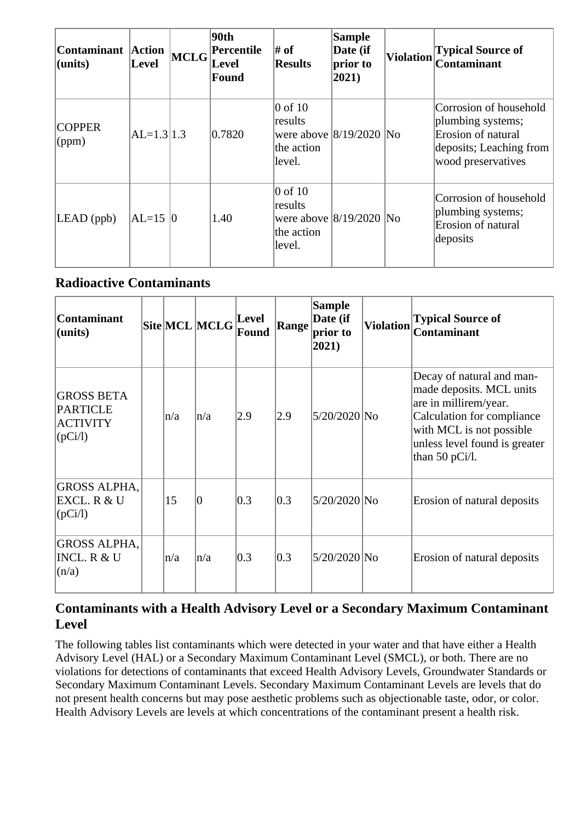| Contaminant Action<br>$ $ (units) | <b>Level</b> | <b>MCLG</b> | 90th<br>Percentile<br>Level<br><b>Found</b> | # of<br><b>Results</b>                                                               | <b>Sample</b><br>Date (if<br>prior to<br>2021) | <b>Violation</b> | <b>Typical Source of</b><br><b>Contaminant</b>                                                                     |
|-----------------------------------|--------------|-------------|---------------------------------------------|--------------------------------------------------------------------------------------|------------------------------------------------|------------------|--------------------------------------------------------------------------------------------------------------------|
| <b>COPPER</b><br>$\gamma$ (ppm)   | $AL=1.3 1.3$ |             | 0.7820                                      | $0$ of $10$<br>results<br>were above $ 8/19/2020 $ No<br>the action<br>level.        |                                                |                  | Corrosion of household<br>plumbing systems;<br>Erosion of natural<br>deposits; Leaching from<br>wood preservatives |
| $LEAD$ (ppb)                      | $ AL=15 0$   |             | 1.40                                        | $\overline{0}$ of 10<br>results<br>were above $8/19/2020$ No<br>the action<br>level. |                                                |                  | Corrosion of household<br>plumbing systems;<br>Erosion of natural<br>deposits                                      |

#### **Radioactive Contaminants**

| <b>Contaminant</b><br>(units)                                          |     | Site MCL MCLG | Level<br>Found   | Range             | <b>Sample</b><br>Date (if<br>prior to<br>2021) | <b>Violation</b> | <b>Typical Source of</b><br><b>Contaminant</b>                                                                                                                                                 |
|------------------------------------------------------------------------|-----|---------------|------------------|-------------------|------------------------------------------------|------------------|------------------------------------------------------------------------------------------------------------------------------------------------------------------------------------------------|
| <b>GROSS BETA</b><br><b>PARTICLE</b><br><b>ACTIVITY</b><br>$[$ (pCi/l) | n/a | n/a           | $\overline{2.9}$ | $\vert 2.9 \vert$ | 5/20/2020 No                                   |                  | Decay of natural and man-<br>made deposits. MCL units<br>are in millirem/year.<br>Calculation for compliance<br>with MCL is not possible<br>unless level found is greater<br>than 50 $pCi/l$ . |
| <b>GROSS ALPHA,</b><br>EXCL. R & U<br>$[$ (pCi/l)                      | 15  | $ 0\rangle$   | 0.3              | 0.3               | 5/20/2020 No                                   |                  | Erosion of natural deposits                                                                                                                                                                    |
| <b>GROSS ALPHA,</b><br><b>INCL. R &amp; U</b><br>(n/a)                 | n/a | n/a           | 0.3              | 0.3               | 5/20/2020 No                                   |                  | Erosion of natural deposits                                                                                                                                                                    |

#### **Contaminants with a Health Advisory Level or a Secondary Maximum Contaminant Level**

The following tables list contaminants which were detected in your water and that have either a Health Advisory Level (HAL) or a Secondary Maximum Contaminant Level (SMCL), or both. There are no violations for detections of contaminants that exceed Health Advisory Levels, Groundwater Standards or Secondary Maximum Contaminant Levels. Secondary Maximum Contaminant Levels are levels that do not present health concerns but may pose aesthetic problems such as objectionable taste, odor, or color. Health Advisory Levels are levels at which concentrations of the contaminant present a health risk.